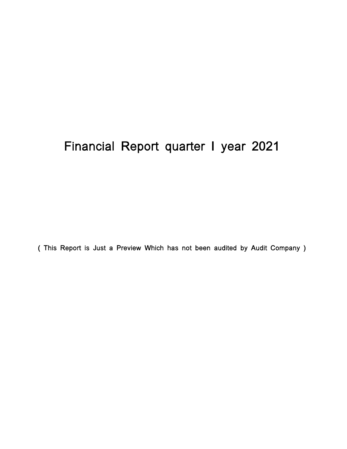# Financial Report quarter I year 2021

( This Report is Just a Preview Which has not been audited by Audit Company )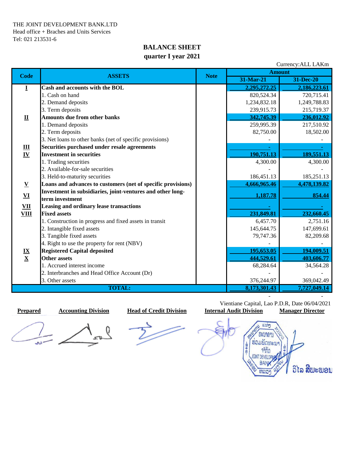### **BALANCE SHEET quarter I year 2021**

| Currency: ALL LAKm                 |                                                              |             |               |              |  |
|------------------------------------|--------------------------------------------------------------|-------------|---------------|--------------|--|
| <b>Code</b>                        | <b>ASSETS</b>                                                | <b>Note</b> | <b>Amount</b> |              |  |
|                                    |                                                              |             | 31-Mar-21     | 31-Dec-20    |  |
| Ī                                  | Cash and accounts with the BOL                               |             | 2,295,272.25  | 2,186,223.61 |  |
|                                    | 1. Cash on hand                                              |             | 820,524.34    | 720,715.41   |  |
|                                    | 2. Demand deposits                                           |             | 1,234,832.18  | 1,249,788.83 |  |
|                                    | 3. Term deposits                                             |             | 239,915.73    | 215,719.37   |  |
| $\mathbf{\underline{u}}$           | <b>Amounts due from other banks</b>                          |             | 342,745.39    | 236,012.92   |  |
|                                    | 1. Demand deposits                                           |             | 259,995.39    | 217,510.92   |  |
|                                    | 2. Term deposits                                             |             | 82,750.00     | 18,502.00    |  |
|                                    | 3. Net loans to other banks (net of specific provisions)     |             |               |              |  |
|                                    | Securities purchased under resale agreements                 |             |               |              |  |
| $\frac{\mathbf{III}}{\mathbf{IV}}$ | <b>Investment in securities</b>                              |             | 190,751.13    | 189,551.13   |  |
|                                    | 1. Trading securities                                        |             | 4,300.00      | 4,300.00     |  |
|                                    | 2. Available-for-sale securities                             |             |               |              |  |
|                                    | 3. Held-to-maturity securities                               |             | 186,451.13    | 185,251.13   |  |
| $\mathbf V$                        | Loans and advances to customers (net of specific provisions) |             | 4,666,965.46  | 4,478,139.82 |  |
| ${\bf VI}$                         | Investment in subsidiaries, joint-ventures and other long-   |             | 1,187.78      | 854.44       |  |
|                                    | term investment                                              |             |               |              |  |
| $\underline{\mathbf{V}}$           | Leasing and ordinary lease transactions                      |             |               |              |  |
| <b>VIII</b>                        | <b>Fixed assets</b>                                          |             | 231,849.81    | 232,660.45   |  |
|                                    | 1. Construction in progress and fixed assets in transit      |             | 6,457.70      | 2,751.16     |  |
|                                    | 2. Intangible fixed assets                                   |             | 145,644.75    | 147,699.61   |  |
|                                    | 3. Tangible fixed assets                                     |             | 79,747.36     | 82,209.68    |  |
|                                    | 4. Right to use the property for rent (NBV)                  |             |               |              |  |
|                                    | <b>Registered Capital deposited</b>                          |             | 195,653.05    | 194,009.51   |  |
| $\frac{IX}{X}$                     | <b>Other assets</b>                                          |             | 444,529.61    | 403,606.77   |  |
|                                    | 1. Accrued interest income                                   |             | 68,284.64     | 34,564.28    |  |
|                                    | 2. Interbranches and Head Office Account (Dr)                |             |               |              |  |
|                                    | 3. Other assets                                              |             | 376,244.97    | 369,042.49   |  |
| <b>TOTAL:</b>                      |                                                              |             | 8,173,301.43  | 7,727,049.14 |  |

لماف

 Vientiane Capital, Lao P.D.R, Date 06/04/2021  **Prepared Accounting Division Head of Credit Division Internal Audit Division Manager Director**

- -

 $uvn$ *<u>INBIINDUL</u>* ร่อมพัดทะบา 専用 จำกัด **DEVELO** ວິໄລ ສີພະພອນ ຫລວ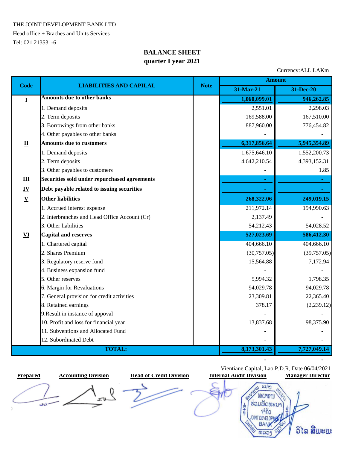THE JOINT DEVELOPMENT BANK.LTD

Head office + Braches and Units Services Tel: 021 213531-6

## **BALANCE SHEET quarter I year 2021**

Currency:ALL LAKm

|                           | <b>LIABILITIES AND CAPILAL</b>                |             | <b>Amount</b> |              |  |  |
|---------------------------|-----------------------------------------------|-------------|---------------|--------------|--|--|
| <b>Code</b>               |                                               | <b>Note</b> | 31-Mar-21     | 31-Dec-20    |  |  |
| $\bf{I}$                  | <b>Amounts due to other banks</b>             |             | 1,060,099.01  | 946,262.85   |  |  |
|                           | 1. Demand deposits                            |             | 2,551.01      | 2,298.03     |  |  |
|                           | 2. Term deposits                              |             | 169,588.00    | 167,510.00   |  |  |
|                           | 3. Borrowings from other banks                |             | 887,960.00    | 776,454.82   |  |  |
|                           | 4. Other payables to other banks              |             |               |              |  |  |
| $\mathbf{\underline{u}}$  | <b>Amounts due to customers</b>               |             | 6,317,856.64  | 5,945,354.89 |  |  |
|                           | 1. Demand deposits                            |             | 1,675,646.10  | 1,552,200.73 |  |  |
|                           | 2. Term deposits                              |             | 4,642,210.54  | 4,393,152.31 |  |  |
|                           | 3. Other payables to customers                |             |               | 1.85         |  |  |
| $\mathbf{III}$            | Securities sold under repurchased agreements  |             |               |              |  |  |
| $\underline{\mathbf{IV}}$ | Debt payable related to issuing securities    |             |               |              |  |  |
| $\underline{\mathbf{V}}$  | <b>Other liabilities</b>                      |             | 268,322.06    | 249,019.15   |  |  |
|                           | 1. Accrued interest expense                   |             | 211,972.14    | 194,990.63   |  |  |
|                           | 2. Interbranches and Head Office Account (Cr) |             | 2,137.49      |              |  |  |
|                           | 3. Other liabilities                          |             | 54,212.43     | 54,028.52    |  |  |
| $\underline{\mathbf{VI}}$ | <b>Capital and reserves</b>                   |             | 527,023.69    | 586,412.30   |  |  |
|                           | 1. Chartered capital                          |             | 404,666.10    | 404,666.10   |  |  |
|                           | 2. Shares Premium                             |             | (30,757.05)   | (39,757.05)  |  |  |
|                           | 3. Regulatory reserve fund                    |             | 15,564.88     | 7,172.94     |  |  |
|                           | 4. Business expansion fund                    |             |               |              |  |  |
|                           | 5. Other reserves                             |             | 5,994.32      | 1,798.35     |  |  |
|                           | 6. Margin for Revaluations                    |             | 94,029.78     | 94,029.78    |  |  |
|                           | 7. General provision for credit activities    |             | 23,309.81     | 22,365.40    |  |  |
|                           | 8. Retained earnings                          |             | 378.17        | (2,239.12)   |  |  |
|                           | 9. Result in instance of appoval              |             |               |              |  |  |
|                           | 10. Profit and loss for financial year        |             | 13,837.68     | 98,375.90    |  |  |
|                           | 11. Subventions and Allocated Fund            |             |               |              |  |  |
|                           | 12. Subordinated Debt                         |             |               |              |  |  |
|                           | <b>TOTAL:</b>                                 |             | 8,173,301.43  | 7,727,049.14 |  |  |

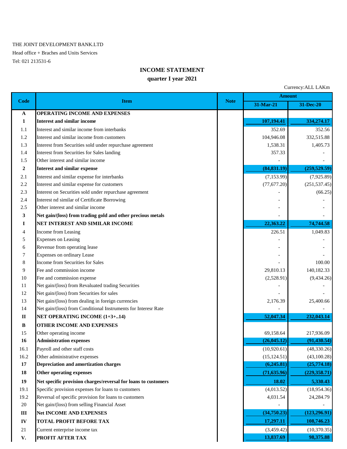#### THE JOINT DEVELOPMENT BANK.LTD

Head office + Braches and Units Services Tel: 021 213531-6

#### **INCOME STATEMENT**

#### **quarter I year 2021**

|                  | Currency: ALL LAKm                                             |             |              |               |  |
|------------------|----------------------------------------------------------------|-------------|--------------|---------------|--|
|                  |                                                                | <b>Note</b> |              | <b>Amount</b> |  |
| Code             | <b>Item</b>                                                    |             | 31-Mar-21    | 31-Dec-20     |  |
| $\mathbf{A}$     | OPERATING INCOME AND EXPENSES                                  |             |              |               |  |
| $\mathbf{1}$     | <b>Interest and similar income</b>                             |             | 107,194.41   | 334,274.17    |  |
| 1.1              | Interest and similar income from interbanks                    |             | 352.69       | 352.56        |  |
| 1.2              | Interest and similar income from customers                     |             | 104,946.08   | 332,515.88    |  |
| 1.3              | Interest from Securities sold under repurchase agreement       |             | 1,538.31     | 1,405.73      |  |
| 1.4              | Interest from Securities for Sales landing                     |             | 357.33       |               |  |
| 1.5              | Other interest and similar income                              |             |              |               |  |
| $\boldsymbol{2}$ | <b>Interest and similar expense</b>                            |             | (84, 831.19) | (259, 529.59) |  |
| 2.1              | Interest and similar expense for interbanks                    |             | (7, 153.99)  | (7,925.89)    |  |
| 2.2              | Interest and similar expense for customers                     |             | (77, 677.20) | (251, 537.45) |  |
| 2.3              | Interest on Securities sold under repurchase agreement         |             |              | (66.25)       |  |
| 2.4              | Interest nd similar of Certificate Borrowing                   |             |              |               |  |
| 2.5              | Other interest and similar income                              |             |              |               |  |
| 3                | Net gain/(loss) from trading gold and other precious metals    |             |              |               |  |
| I                | NET INTEREST AND SIMILAR INCOME                                |             | 22,363.22    | 74,744.58     |  |
| 4                | Income from Leasing                                            |             | 226.51       | 1,049.83      |  |
| 5                | <b>Expenses on Leasing</b>                                     |             |              |               |  |
| 6                | Revenue from operating lease                                   |             |              |               |  |
| 7                | <b>Expenses on ordinary Lease</b>                              |             | L,           |               |  |
| 8                | Income from Securities for Sales                               |             |              | 100.00        |  |
| 9                | Fee and commission income                                      |             | 29,810.13    | 140,182.33    |  |
| 10               | Fee and commission expense                                     |             | (2,528.91)   | (9, 434.26)   |  |
| 11               | Net gain/(loss) from Revaluated trading Securities             |             |              |               |  |
| 12               | Net gain/(loss) from Securities for sales                      |             |              |               |  |
| 13               | Net gain/(loss) from dealing in foreign currencies             |             | 2,176.39     | 25,400.66     |  |
| 14               | Net gain/(loss) from Conditional Instruments for Interesr Rate |             |              |               |  |
| $\mathbf{I}$     | <b>NET OPERATING INCOME (1+3+14)</b>                           |             | 52,047.34    | 232,043.14    |  |
| $\bf{B}$         | OTHER INCOME AND EXPENSES                                      |             |              |               |  |
| 15               | Other operating income                                         |             | 69,158.64    | 217,936.09    |  |
| 16               | <b>Administration expenses</b>                                 |             | (26, 045.12) | (91, 430.54)  |  |
| 16.1             | Payroll and other staff costs                                  |             | (10,920.61)  | (48, 330.26)  |  |
| 16.2             | Other administrative expenses                                  |             | (15, 124.51) | (43,100.28)   |  |
| 17               | <b>Depreciation and amortization charges</b>                   |             | (6,245.81)   | (25,774.18)   |  |
| 18               | Other operating expenses                                       |             | (71, 635.96) | (229, 358.71) |  |
| 19               | Net specific provision charges/reversal for loans to customers |             | 18.02        | 5,330.43      |  |
| 19.1             | Specific provision expenses for loans to customers             |             | (4,013.52)   | (18,954.36)   |  |
| 19.2             | Reversal of specific provision for loans to customers          |             | 4,031.54     | 24,284.79     |  |
| 20               | Net gain/(loss) from selling Financial Asset                   |             |              |               |  |
| $\rm III$        | <b>Net INCOME AND EXPENSES</b>                                 |             | (34,750.23)  | (123, 296.91) |  |
| ${\bf IV}$       | TOTAL PROFIT BEFORE TAX                                        |             | 17,297.11    | 108,746.23    |  |
| 21               | Current enterprise income tax                                  |             | (3,459.42)   | (10, 370.35)  |  |
|                  |                                                                |             |              |               |  |

**V. PROFIT AFTER TAX** 98,375.88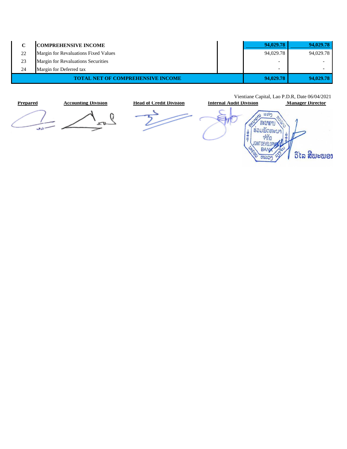| C  | <b>COMPREHENSIVE INCOME</b>          | 94,029.78                | 94,029.78      |
|----|--------------------------------------|--------------------------|----------------|
| 22 | Margin for Revaluations Fixed Values | 94,029.78                | 94,029.78      |
| 23 | Margin for Revaluations Securities   | $\overline{\phantom{a}}$ |                |
| 24 | Margin for Deferred tax              | $\blacksquare$           | $\blacksquare$ |
|    | TOTAL NET OF COMPREHENSIVE INCOME    | 94,029.78                | 94,029.78      |



Vientiane Capital, Lao P.D.R, Date 06/04/2021

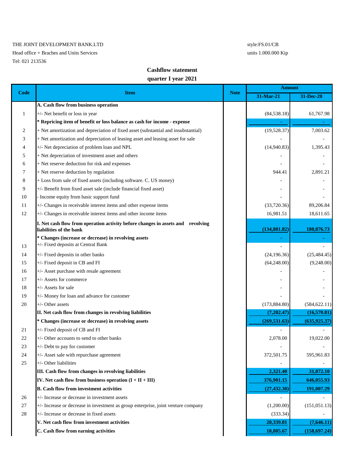#### THE JOINT DEVELOPMENT BANK.LTD style:FS.01/CB

Head office + Braches and Units Services units 1.000.000 Kip Tel: 021 213536

#### **Cashflow statement**

#### **quarter I year 2021**

|              |                                                                                                            | <b>Note</b> | Amount        |               |
|--------------|------------------------------------------------------------------------------------------------------------|-------------|---------------|---------------|
| <b>Code</b>  | <b>Item</b>                                                                                                |             | 31-Mar-21     | 31-Dec-20     |
|              | A. Cash flow from business operation                                                                       |             |               |               |
| $\mathbf{1}$ | +/- Net benefit or loss in year                                                                            |             | (84, 538.18)  | 61,767.98     |
|              | * Repricing item of benefit or loss balance as cash for income - expense                                   |             |               |               |
| 2            | + Net amortization and depreciation of fixed asset (substantial and insubstantial)                         |             | (19,528.37)   | 7,003.62      |
| 3            | + Net amortization and depreciation of leasing asset and leasing asset for sale                            |             |               |               |
| 4            | +/- Net depreciation of problem loan and NPL                                                               |             | (14,940.83)   | 1,395.43      |
| 5            | + Net depreciation of investment asset and others                                                          |             |               |               |
| 6            | + Net reserve deduction for risk and expenses                                                              |             |               |               |
| 7            | + Net reserve deduction by regulation                                                                      |             | 944.41        | 2,891.21      |
| 8            | + Loss from sale of fixed assets (including software. C. US money)                                         |             |               |               |
| 9            | +/- Benefit from fixed asset sale (include financial fixed asset)                                          |             |               |               |
| 10           | - Income equity from basic support fund                                                                    |             |               |               |
| 11           | +/- Changes in receivable interest items and other expense items                                           |             | (33,720.36)   | 89,206.84     |
| 12           | +/- Changes in receivable interest items and other income items                                            |             | 16,981.51     | 18,611.65     |
|              | I. Net cash flow from operation activity before changes in assets and revolving<br>liabilities of the bank |             | (134, 801.82) | 180,876.73    |
|              | * Changes (increase or decrease) in revolving assets                                                       |             |               |               |
| 13           | +/- Fixed deposits at Central Bank                                                                         |             |               |               |
| 14           | +/- Fixed deposits in other banks                                                                          |             | (24, 196.36)  | (25, 484.45)  |
| 15           | +/- Fixed deposit in CB and FI                                                                             |             | (64,248.00)   | (9,248.00)    |
| 16           | +/- Asset purchase with resale agreement                                                                   |             |               |               |
| 17           | +/- Assets for commerce                                                                                    |             |               |               |
| 18           | +/- Assets for sale                                                                                        |             |               |               |
| 19           | +/- Money for loan and advance for customer                                                                |             |               |               |
| 20           | +/- Other assets                                                                                           |             | (173, 884.80) | (584, 622.11) |
|              | II. Net cash flow from changes in revolving liabilities                                                    |             | (7,202.47)    | (16,570.81)   |
|              | * Changes (increase or decrease) in revolving assets                                                       |             | (269, 531.63) | (635, 925.37) |
| 21           | +/- Fixed deposit of CB and FI                                                                             |             |               |               |
| 22           | +/- Other accounts to send to other banks                                                                  |             | 2,078.00      | 19,022.00     |
| 23           | +/- Debt to pay for customer                                                                               |             |               |               |
| 24           | +/- Asset sale with repurchase agreement                                                                   |             | 372,501.75    | 595,961.83    |
| 25           | +/- Other liabilities                                                                                      |             |               |               |
|              | III. Cash flow from changes in revolving liabilities                                                       |             | 2,321.40      | 31,072.10     |
|              | IV. Net cash flow from business operation $(I + II + III)$                                                 |             | 376,901.15    | 646,055.93    |
|              | <b>B.</b> Cash flow from investment activities                                                             |             | (27, 432.30)  | 191,007.29    |
| 26           | +/- Increase or decrease in investment assets                                                              |             |               |               |
| 27           | +/- Increase or decrease in investment as group enterprise, joint venture company                          |             | (1,200.00)    | (151, 051.13) |
| 28           | +/- Increase or decrease in fixed assets                                                                   |             | (333.34)      |               |
|              | V. Net cash flow from investment activities                                                                |             | 20,339.01     | (7,646.11)    |
|              | C. Cash flow from earning activities                                                                       |             | 18,805.67     | (158, 697.24) |